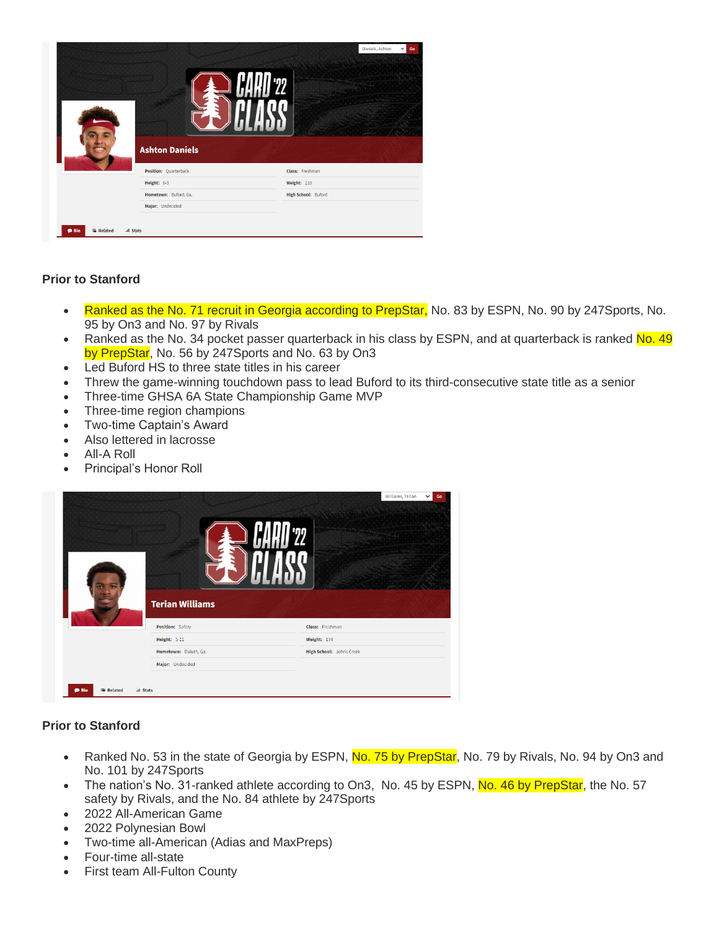|                                          | <b>Ashton Daniels</b> | Daniels, Ashton<br>Go<br>$\checkmark$ |
|------------------------------------------|-----------------------|---------------------------------------|
|                                          | Position: Quarterback | Class: Freshman                       |
|                                          | Height: 6-3           | Weight: 210                           |
|                                          | Hometown: Buford, Ga. | High School: Buford                   |
|                                          | Major: Undecided      |                                       |
| al Stats<br><b>Related</b><br><b>Bio</b> |                       |                                       |

## **Prior to Stanford**

- Ranked as the No. 71 recruit in Georgia according to PrepStar, No. 83 by ESPN, No. 90 by 247 Sports, No. 95 by On3 and No. 97 by Rivals
- Ranked as the No. 34 pocket passer quarterback in his class by ESPN, and at quarterback is ranked No. 49 by PrepStar, No. 56 by 247Sports and No. 63 by On3
- Led Buford HS to three state titles in his career
- Threw the game-winning touchdown pass to lead Buford to its third-consecutive state title as a senior
- Three-time GHSA 6A State Championship Game MVP
- Three-time region champions
- Two-time Captain's Award
- Also lettered in lacrosse
- All-A Roll
- Principal's Honor Roll

|                              | <b>Terian Williams</b> | Williams, Terian<br>Go<br>$\checkmark$ |
|------------------------------|------------------------|----------------------------------------|
|                              | Position: Safety       | Class: Freshman                        |
|                              | Height: 5-11           | <b>Weight: 174</b>                     |
|                              | Hometown: Duluth, Ga.  | High School: Johns Creek               |
|                              | Major: Undecided       |                                        |
| <b>Related</b><br><b>Bio</b> | <b>Il</b> Stats        |                                        |

### **Prior to Stanford**

- Ranked No. 53 in the state of Georgia by ESPN, No. 75 by PrepStar, No. 79 by Rivals, No. 94 by On3 and No. 101 by 247Sports
- The nation's No. 31-ranked athlete according to On3, No. 45 by ESPN, No. 46 by PrepStar, the No. 57 safety by Rivals, and the No. 84 athlete by 247Sports
- 2022 All-American Game
- 2022 Polynesian Bowl
- Two-time all-American (Adias and MaxPreps)
- Four-time all-state
- First team All-Fulton County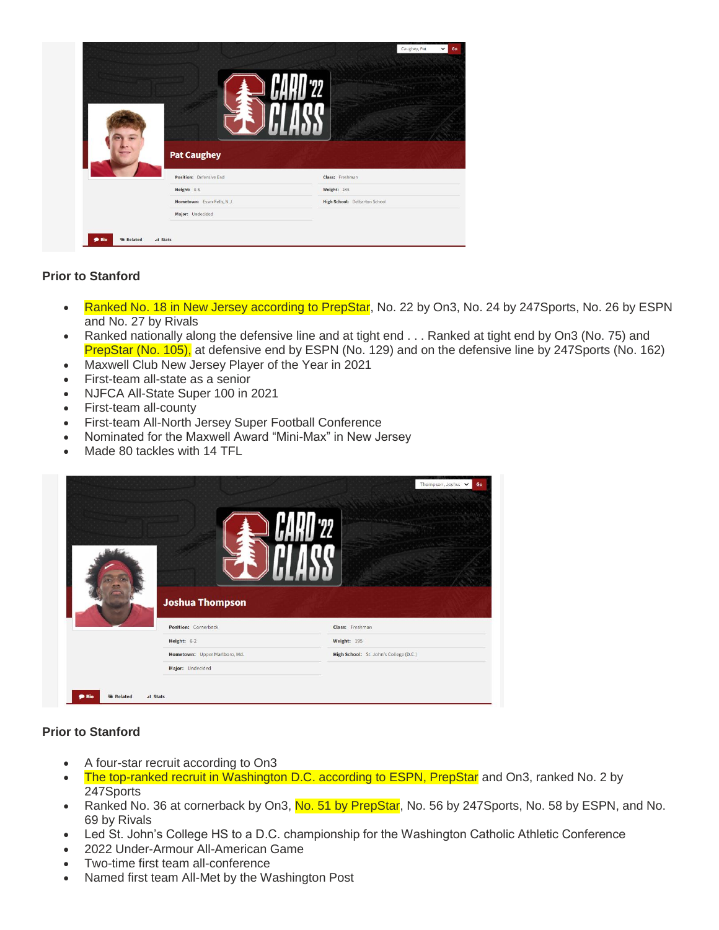|                             | Caughey, Pat                  | $\check{~}$<br>Go |
|-----------------------------|-------------------------------|-------------------|
| <b>Pat Caughey</b>          |                               |                   |
| Position: Defensive End     | Class: Freshman               |                   |
| Height: 6-5                 | Weight: 245                   |                   |
| Hometown: Essex Fells, N.J. | High School: Delbarton School |                   |

### **Prior to Stanford**

- Ranked No. 18 in New Jersey according to PrepStar, No. 22 by On3, No. 24 by 247 Sports, No. 26 by ESPN and No. 27 by Rivals
- Ranked nationally along the defensive line and at tight end . . . Ranked at tight end by On3 (No. 75) and PrepStar (No. 105), at defensive end by ESPN (No. 129) and on the defensive line by 247Sports (No. 162)
- Maxwell Club New Jersey Player of the Year in 2021
- First-team all-state as a senior
- NJFCA All-State Super 100 in 2021
- First-team all-county
- First-team All-North Jersey Super Football Conference
- Nominated for the Maxwell Award "Mini-Max" in New Jersey
- Made 80 tackles with 14 TFL

| <b>Joshua Thompson</b>        | Thompson, Joshui V<br>Go               |
|-------------------------------|----------------------------------------|
| Position: Cornerback          | Class: Freshman                        |
|                               |                                        |
| Height: 6-2                   | Weight: 195                            |
| Hometown: Upper Marlboro, Md. | High School: St. John's College (D.C.) |

### **Prior to Stanford**

- A four-star recruit according to On3
- The top-ranked recruit in Washington D.C. according to ESPN, PrepStar and On3, ranked No. 2 by 247Sports
- Ranked No. 36 at cornerback by On3, No. 51 by PrepStar, No. 56 by 247Sports, No. 58 by ESPN, and No. 69 by Rivals
- Led St. John's College HS to a D.C. championship for the Washington Catholic Athletic Conference
- 2022 Under-Armour All-American Game
- Two-time first team all-conference
- Named first team All-Met by the Washington Post